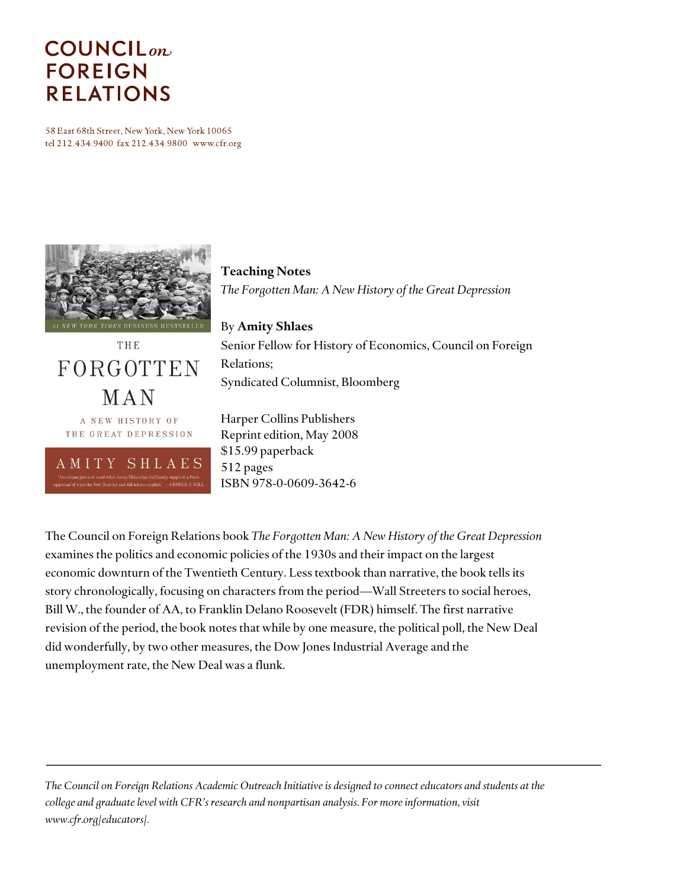# **COUNCIL**<sub>on</sub> **FOREIGN RELATIONS**

58 East 68th Street, New York, New York 10065 tel 212.434.9400 fax 212.434.9800 www.cfr.org



*The Forgotten Man: A New History of the Great Depression* By **Amity Shlaes** Senior Fellow for History of Economics, Council on Foreign

THE FORGOTTEN MAN A NEW HISTORY OF THE GREAT DEPRESSION SHLAES A M I T Y

Harper Collins Publishers Reprint edition, May 2008 \$15.99 paperback 512 pages

ISBN 978-0-0609-3642-6

Syndicated Columnist, Bloomberg

**Teaching Notes**

Relations;

The Council on Foreign Relations book *The Forgotten Man: A New History of the Great Depression* examines the politics and economic policies of the 1930s and their impact on the largest economic downturn of the Twentieth Century. Less textbook than narrative, the book tells its story chronologically, focusing on characters from the period—Wall Streeters to social heroes, Bill W., the founder of AA, to Franklin Delano Roosevelt (FDR) himself. The first narrative revision of the period, the book notes that while by one measure, the political poll, the New Deal did wonderfully, by two other measures, the Dow Jones Industrial Average and the unemployment rate, the New Deal was a flunk.

*The Council on Foreign Relations Academic Outreach Initiative is designed to connect educators and students at the college and graduate level with CFR's research and nonpartisan analysis. For more information, visit www.cfr.org/educators/.*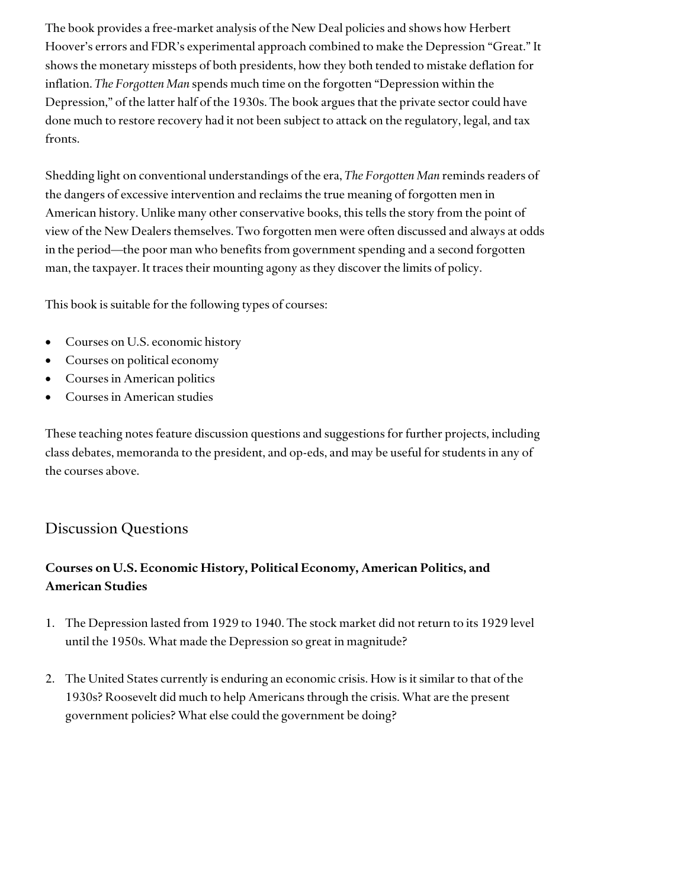The book provides a free-market analysis of the New Deal policies and shows how Herbert Hoover's errors and FDR's experimental approach combined to make the Depression "Great." It shows the monetary missteps of both presidents, how they both tended to mistake deflation for inflation. *The Forgotten Man* spends much time on the forgotten "Depression within the Depression," of the latter half of the 1930s. The book argues that the private sector could have done much to restore recovery had it not been subject to attack on the regulatory, legal, and tax fronts.

Shedding light on conventional understandings of the era, *The Forgotten Man* reminds readers of the dangers of excessive intervention and reclaims the true meaning of forgotten men in American history. Unlike many other conservative books, this tells the story from the point of view of the New Dealers themselves. Two forgotten men were often discussed and always at odds in the period—the poor man who benefits from government spending and a second forgotten man, the taxpayer. It traces their mounting agony as they discover the limits of policy.

This book is suitable for the following types of courses:

- Courses on U.S. economic history
- Courses on political economy
- Courses in American politics
- Courses in American studies

These teaching notes feature discussion questions and suggestions for further projects, including class debates, memoranda to the president, and op-eds, and may be useful for students in any of the courses above.

## Discussion Questions

## **Courses on U.S. Economic History, Political Economy, American Politics, and American Studies**

- 1. The Depression lasted from 1929 to 1940. The stock market did not return to its 1929 level until the 1950s. What made the Depression so great in magnitude?
- 2. The United States currently is enduring an economic crisis. How is it similar to that of the 1930s? Roosevelt did much to help Americans through the crisis. What are the present government policies? What else could the government be doing?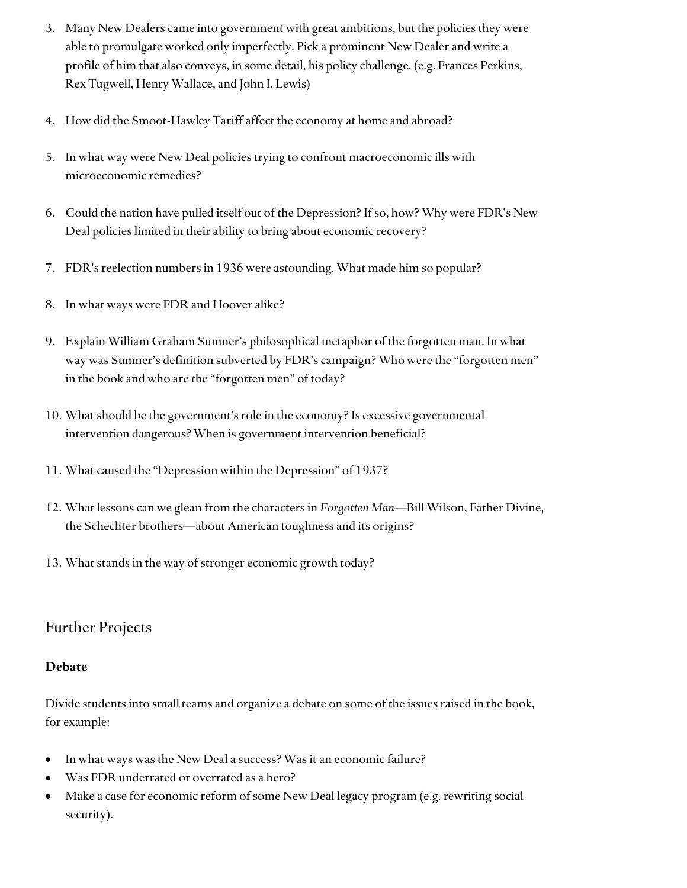- 3. Many New Dealers came into government with great ambitions, but the policies they were able to promulgate worked only imperfectly. Pick a prominent New Dealer and write a profile of him that also conveys, in some detail, his policy challenge. (e.g. Frances Perkins, Rex Tugwell, Henry Wallace, and John I. Lewis)
- 4. How did the Smoot-Hawley Tariff affect the economy at home and abroad?
- 5. In what way were New Deal policies trying to confront macroeconomic ills with microeconomic remedies?
- 6. Could the nation have pulled itself out of the Depression? If so, how? Why were FDR's New Deal policies limited in their ability to bring about economic recovery?
- 7. FDR's reelection numbers in 1936 were astounding. What made him so popular?
- 8. In what ways were FDR and Hoover alike?
- 9. Explain William Graham Sumner's philosophical metaphor of the forgotten man. In what way was Sumner's definition subverted by FDR's campaign? Who were the "forgotten men" in the book and who are the "forgotten men" of today?
- 10. What should be the government's role in the economy? Is excessive governmental intervention dangerous? When is government intervention beneficial?
- 11. What caused the "Depression within the Depression" of 1937?
- 12. What lessons can we glean from the characters in *Forgotten Man*—Bill Wilson, Father Divine, the Schechter brothers—about American toughness and its origins?
- 13. What stands in the way of stronger economic growth today?

# Further Projects

#### **Debate**

Divide students into small teams and organize a debate on some of the issues raised in the book, for example:

- In what ways was the New Deal a success? Was it an economic failure?
- Was FDR underrated or overrated as a hero?
- Make a case for economic reform of some New Deal legacy program (e.g. rewriting social security).